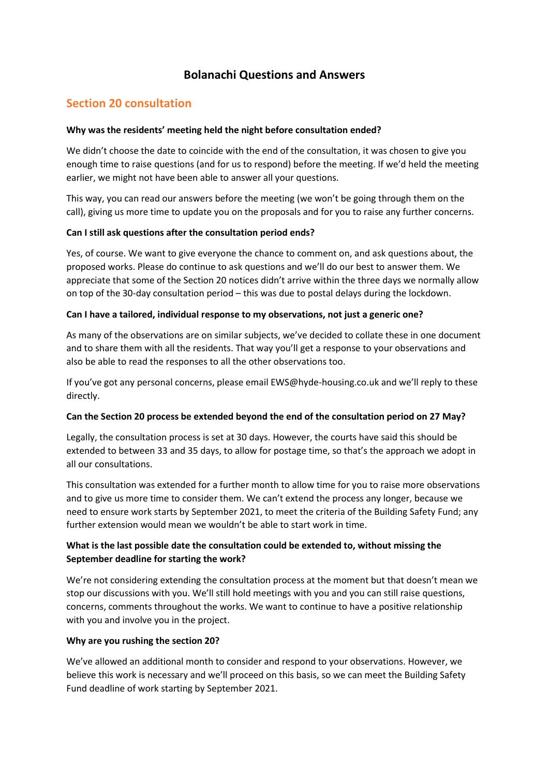## **Bolanachi Questions and Answers**

## **Section 20 consultation**

#### **Why was the residents' meeting held the night before consultation ended?**

We didn't choose the date to coincide with the end of the consultation, it was chosen to give you enough time to raise questions (and for us to respond) before the meeting. If we'd held the meeting earlier, we might not have been able to answer all your questions.

This way, you can read our answers before the meeting (we won't be going through them on the call), giving us more time to update you on the proposals and for you to raise any further concerns.

#### **Can I still ask questions after the consultation period ends?**

Yes, of course. We want to give everyone the chance to comment on, and ask questions about, the proposed works. Please do continue to ask questions and we'll do our best to answer them. We appreciate that some of the Section 20 notices didn't arrive within the three days we normally allow on top of the 30-day consultation period – this was due to postal delays during the lockdown.

#### **Can I have a tailored, individual response to my observations, not just a generic one?**

As many of the observations are on similar subjects, we've decided to collate these in one document and to share them with all the residents. That way you'll get a response to your observations and also be able to read the responses to all the other observations too.

If you've got any personal concerns, please email EWS@hyde-housing.co.uk and we'll reply to these directly.

#### **Can the Section 20 process be extended beyond the end of the consultation period on 27 May?**

Legally, the consultation process is set at 30 days. However, the courts have said this should be extended to between 33 and 35 days, to allow for postage time, so that's the approach we adopt in all our consultations.

This consultation was extended for a further month to allow time for you to raise more observations and to give us more time to consider them. We can't extend the process any longer, because we need to ensure work starts by September 2021, to meet the criteria of the Building Safety Fund; any further extension would mean we wouldn't be able to start work in time.

## **What is the last possible date the consultation could be extended to, without missing the September deadline for starting the work?**

We're not considering extending the consultation process at the moment but that doesn't mean we stop our discussions with you. We'll still hold meetings with you and you can still raise questions, concerns, comments throughout the works. We want to continue to have a positive relationship with you and involve you in the project.

#### **Why are you rushing the section 20?**

We've allowed an additional month to consider and respond to your observations. However, we believe this work is necessary and we'll proceed on this basis, so we can meet the Building Safety Fund deadline of work starting by September 2021.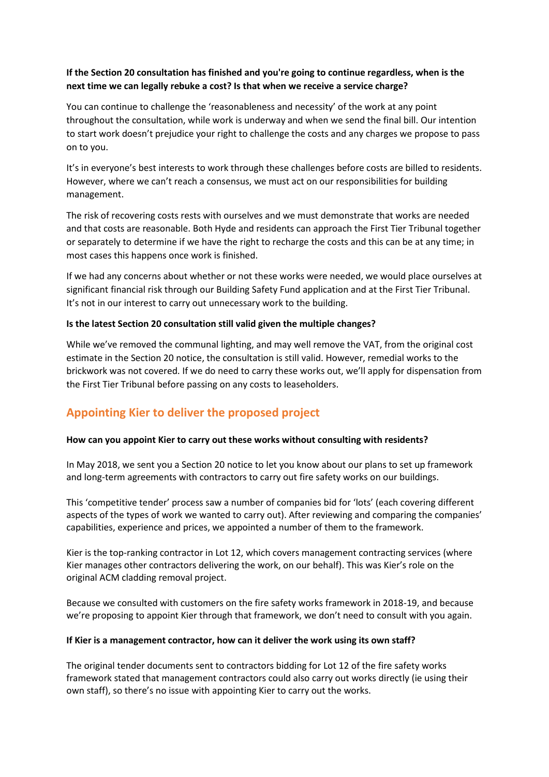## **If the Section 20 consultation has finished and you're going to continue regardless, when is the next time we can legally rebuke a cost? Is that when we receive a service charge?**

You can continue to challenge the 'reasonableness and necessity' of the work at any point throughout the consultation, while work is underway and when we send the final bill. Our intention to start work doesn't prejudice your right to challenge the costs and any charges we propose to pass on to you.

It's in everyone's best interests to work through these challenges before costs are billed to residents. However, where we can't reach a consensus, we must act on our responsibilities for building management.

The risk of recovering costs rests with ourselves and we must demonstrate that works are needed and that costs are reasonable. Both Hyde and residents can approach the First Tier Tribunal together or separately to determine if we have the right to recharge the costs and this can be at any time; in most cases this happens once work is finished.

If we had any concerns about whether or not these works were needed, we would place ourselves at significant financial risk through our Building Safety Fund application and at the First Tier Tribunal. It's not in our interest to carry out unnecessary work to the building.

#### **Is the latest Section 20 consultation still valid given the multiple changes?**

While we've removed the communal lighting, and may well remove the VAT, from the original cost estimate in the Section 20 notice, the consultation is still valid. However, remedial works to the brickwork was not covered. If we do need to carry these works out, we'll apply for dispensation from the First Tier Tribunal before passing on any costs to leaseholders.

# **Appointing Kier to deliver the proposed project**

## **How can you appoint Kier to carry out these works without consulting with residents?**

In May 2018, we sent you a Section 20 notice to let you know about our plans to set up framework and long-term agreements with contractors to carry out fire safety works on our buildings.

This 'competitive tender' process saw a number of companies bid for 'lots' (each covering different aspects of the types of work we wanted to carry out). After reviewing and comparing the companies' capabilities, experience and prices, we appointed a number of them to the framework.

Kier is the top-ranking contractor in Lot 12, which covers management contracting services (where Kier manages other contractors delivering the work, on our behalf). This was Kier's role on the original ACM cladding removal project.

Because we consulted with customers on the fire safety works framework in 2018-19, and because we're proposing to appoint Kier through that framework, we don't need to consult with you again.

#### **If Kier is a management contractor, how can it deliver the work using its own staff?**

The original tender documents sent to contractors bidding for Lot 12 of the fire safety works framework stated that management contractors could also carry out works directly (ie using their own staff), so there's no issue with appointing Kier to carry out the works.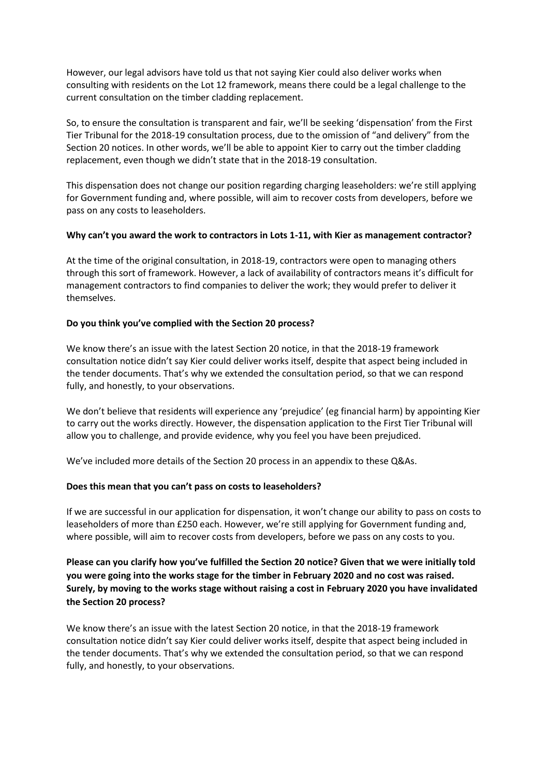However, our legal advisors have told us that not saying Kier could also deliver works when consulting with residents on the Lot 12 framework, means there could be a legal challenge to the current consultation on the timber cladding replacement.

So, to ensure the consultation is transparent and fair, we'll be seeking 'dispensation' from the First Tier Tribunal for the 2018-19 consultation process, due to the omission of "and delivery" from the Section 20 notices. In other words, we'll be able to appoint Kier to carry out the timber cladding replacement, even though we didn't state that in the 2018-19 consultation.

This dispensation does not change our position regarding charging leaseholders: we're still applying for Government funding and, where possible, will aim to recover costs from developers, before we pass on any costs to leaseholders.

#### **Why can't you award the work to contractors in Lots 1-11, with Kier as management contractor?**

At the time of the original consultation, in 2018-19, contractors were open to managing others through this sort of framework. However, a lack of availability of contractors means it's difficult for management contractors to find companies to deliver the work; they would prefer to deliver it themselves.

#### **Do you think you've complied with the Section 20 process?**

We know there's an issue with the latest Section 20 notice, in that the 2018-19 framework consultation notice didn't say Kier could deliver works itself, despite that aspect being included in the tender documents. That's why we extended the consultation period, so that we can respond fully, and honestly, to your observations.

We don't believe that residents will experience any 'prejudice' (eg financial harm) by appointing Kier to carry out the works directly. However, the dispensation application to the First Tier Tribunal will allow you to challenge, and provide evidence, why you feel you have been prejudiced.

We've included more details of the Section 20 process in an appendix to these Q&As.

#### **Does this mean that you can't pass on costs to leaseholders?**

If we are successful in our application for dispensation, it won't change our ability to pass on costs to leaseholders of more than £250 each. However, we're still applying for Government funding and, where possible, will aim to recover costs from developers, before we pass on any costs to you.

**Please can you clarify how you've fulfilled the Section 20 notice? Given that we were initially told you were going into the works stage for the timber in February 2020 and no cost was raised. Surely, by moving to the works stage without raising a cost in February 2020 you have invalidated the Section 20 process?**

We know there's an issue with the latest Section 20 notice, in that the 2018-19 framework consultation notice didn't say Kier could deliver works itself, despite that aspect being included in the tender documents. That's why we extended the consultation period, so that we can respond fully, and honestly, to your observations.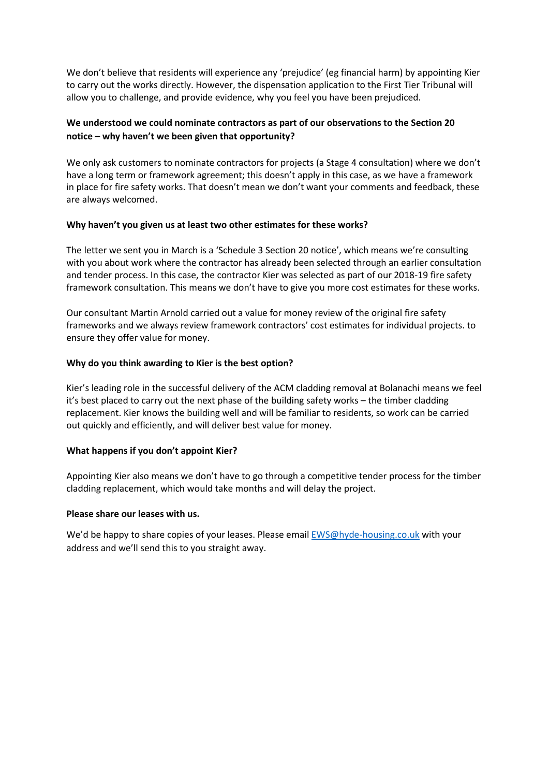We don't believe that residents will experience any 'prejudice' (eg financial harm) by appointing Kier to carry out the works directly. However, the dispensation application to the First Tier Tribunal will allow you to challenge, and provide evidence, why you feel you have been prejudiced.

## **We understood we could nominate contractors as part of our observations to the Section 20 notice – why haven't we been given that opportunity?**

We only ask customers to nominate contractors for projects (a Stage 4 consultation) where we don't have a long term or framework agreement; this doesn't apply in this case, as we have a framework in place for fire safety works. That doesn't mean we don't want your comments and feedback, these are always welcomed.

#### **Why haven't you given us at least two other estimates for these works?**

The letter we sent you in March is a 'Schedule 3 Section 20 notice', which means we're consulting with you about work where the contractor has already been selected through an earlier consultation and tender process. In this case, the contractor Kier was selected as part of our 2018-19 fire safety framework consultation. This means we don't have to give you more cost estimates for these works.

Our consultant Martin Arnold carried out a value for money review of the original fire safety frameworks and we always review framework contractors' cost estimates for individual projects. to ensure they offer value for money.

#### **Why do you think awarding to Kier is the best option?**

Kier's leading role in the successful delivery of the ACM cladding removal at Bolanachi means we feel it's best placed to carry out the next phase of the building safety works – the timber cladding replacement. Kier knows the building well and will be familiar to residents, so work can be carried out quickly and efficiently, and will deliver best value for money.

## **What happens if you don't appoint Kier?**

Appointing Kier also means we don't have to go through a competitive tender process for the timber cladding replacement, which would take months and will delay the project.

#### **Please share our leases with us.**

We'd be happy to share copies of your leases. Please emai[l EWS@hyde-housing.co.uk](mailto:EWS@hyde-housing.co.uk) with your address and we'll send this to you straight away.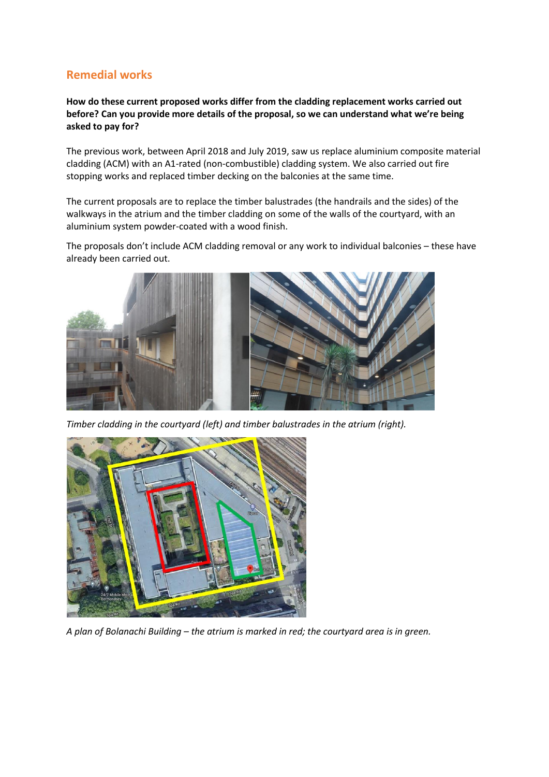# **Remedial works**

**How do these current proposed works differ from the cladding replacement works carried out before? Can you provide more details of the proposal, so we can understand what we're being asked to pay for?**

The previous work, between April 2018 and July 2019, saw us replace aluminium composite material cladding (ACM) with an A1-rated (non-combustible) cladding system. We also carried out fire stopping works and replaced timber decking on the balconies at the same time.

The current proposals are to replace the timber balustrades (the handrails and the sides) of the walkways in the atrium and the timber cladding on some of the walls of the courtyard, with an aluminium system powder-coated with a wood finish.

The proposals don't include ACM cladding removal or any work to individual balconies – these have already been carried out.



*Timber cladding in the courtyard (left) and timber balustrades in the atrium (right).*



*A plan of Bolanachi Building – the atrium is marked in red; the courtyard area is in green.*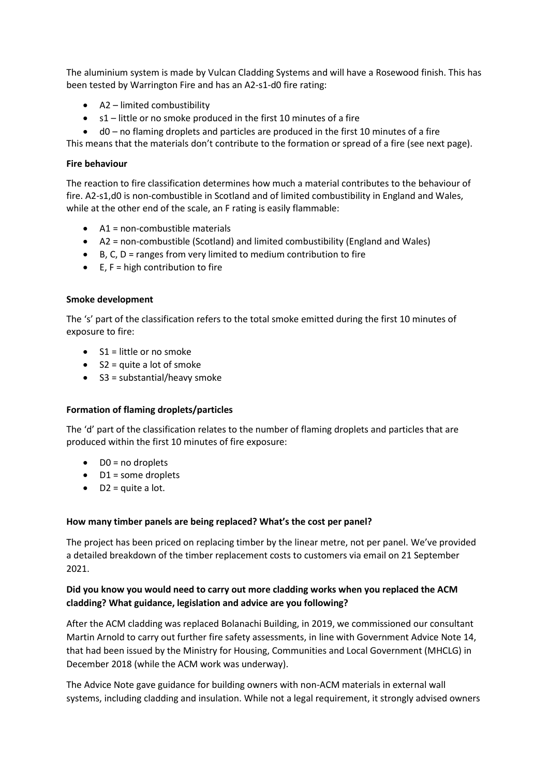The aluminium system is made by Vulcan Cladding Systems and will have a Rosewood finish. This has been tested by Warrington Fire and has an A2-s1-d0 fire rating:

- A2 limited combustibility
- s1 little or no smoke produced in the first 10 minutes of a fire
- d0 no flaming droplets and particles are produced in the first 10 minutes of a fire

This means that the materials don't contribute to the formation or spread of a fire (see next page).

#### **Fire behaviour**

The reaction to fire classification determines how much a material contributes to the behaviour of fire. A2-s1,d0 is non-combustible in Scotland and of limited combustibility in England and Wales, while at the other end of the scale, an F rating is easily flammable:

- A1 = non-combustible materials
- A2 = non-combustible (Scotland) and limited combustibility (England and Wales)
- $\bullet$  B, C, D = ranges from very limited to medium contribution to fire
- $\bullet$  E, F = high contribution to fire

#### **Smoke development**

The 's' part of the classification refers to the total smoke emitted during the first 10 minutes of exposure to fire:

- $\bullet$  S1 = little or no smoke
- $\bullet$  S2 = quite a lot of smoke
- S3 = substantial/heavy smoke

#### **Formation of flaming droplets/particles**

The 'd' part of the classification relates to the number of flaming droplets and particles that are produced within the first 10 minutes of fire exposure:

- DO = no droplets
- D1 = some droplets
- $\bullet$  D2 = quite a lot.

#### **How many timber panels are being replaced? What's the cost per panel?**

The project has been priced on replacing timber by the linear metre, not per panel. We've provided a detailed breakdown of the timber replacement costs to customers via email on 21 September 2021.

## **Did you know you would need to carry out more cladding works when you replaced the ACM cladding? What guidance, legislation and advice are you following?**

After the ACM cladding was replaced Bolanachi Building, in 2019, we commissioned our consultant Martin Arnold to carry out further fire safety assessments, in line with Government Advice Note 14, that had been issued by the Ministry for Housing, Communities and Local Government (MHCLG) in December 2018 (while the ACM work was underway).

The Advice Note gave guidance for building owners with non-ACM materials in external wall systems, including cladding and insulation. While not a legal requirement, it strongly advised owners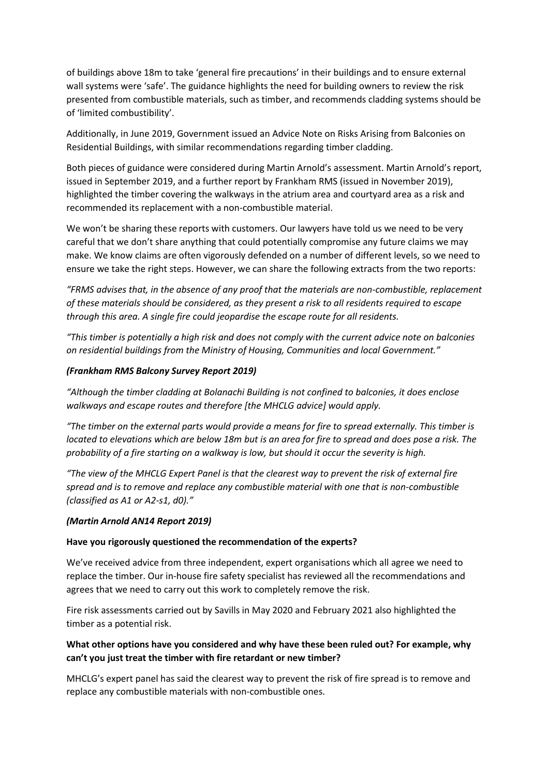of buildings above 18m to take 'general fire precautions' in their buildings and to ensure external wall systems were 'safe'. The guidance highlights the need for building owners to review the risk presented from combustible materials, such as timber, and recommends cladding systems should be of 'limited combustibility'.

Additionally, in June 2019, Government issued an Advice Note on Risks Arising from Balconies on Residential Buildings, with similar recommendations regarding timber cladding.

Both pieces of guidance were considered during Martin Arnold's assessment. Martin Arnold's report, issued in September 2019, and a further report by Frankham RMS (issued in November 2019), highlighted the timber covering the walkways in the atrium area and courtyard area as a risk and recommended its replacement with a non-combustible material.

We won't be sharing these reports with customers. Our lawyers have told us we need to be very careful that we don't share anything that could potentially compromise any future claims we may make. We know claims are often vigorously defended on a number of different levels, so we need to ensure we take the right steps. However, we can share the following extracts from the two reports:

*"FRMS advises that, in the absence of any proof that the materials are non-combustible, replacement of these materials should be considered, as they present a risk to all residents required to escape through this area. A single fire could jeopardise the escape route for all residents.*

*"This timber is potentially a high risk and does not comply with the current advice note on balconies on residential buildings from the Ministry of Housing, Communities and local Government."*

#### *(Frankham RMS Balcony Survey Report 2019)*

*"Although the timber cladding at Bolanachi Building is not confined to balconies, it does enclose walkways and escape routes and therefore [the MHCLG advice] would apply.*

*"The timber on the external parts would provide a means for fire to spread externally. This timber is located to elevations which are below 18m but is an area for fire to spread and does pose a risk. The probability of a fire starting on a walkway is low, but should it occur the severity is high.*

*"The view of the MHCLG Expert Panel is that the clearest way to prevent the risk of external fire spread and is to remove and replace any combustible material with one that is non-combustible (classified as A1 or A2-s1, d0)."*

#### *(Martin Arnold AN14 Report 2019)*

#### **Have you rigorously questioned the recommendation of the experts?**

We've received advice from three independent, expert organisations which all agree we need to replace the timber. Our in-house fire safety specialist has reviewed all the recommendations and agrees that we need to carry out this work to completely remove the risk.

Fire risk assessments carried out by Savills in May 2020 and February 2021 also highlighted the timber as a potential risk.

#### **What other options have you considered and why have these been ruled out? For example, why can't you just treat the timber with fire retardant or new timber?**

MHCLG's expert panel has said the clearest way to prevent the risk of fire spread is to remove and replace any combustible materials with non-combustible ones.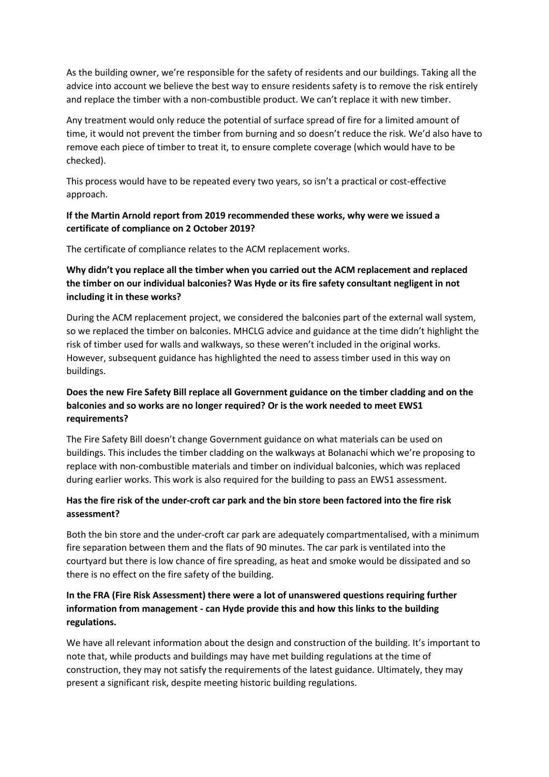As the building owner, we're responsible for the safety of residents and our buildings. Taking all the advice into account we believe the best way to ensure residents safety is to remove the risk entirely and replace the timber with a non-combustible product. We can't replace it with new timber.

Any treatment would only reduce the potential of surface spread of fire for a limited amount of time, it would not prevent the timber from burning and so doesn't reduce the risk. We'd also have to remove each piece of timber to treat it, to ensure complete coverage (which would have to be checked).

This process would have to be repeated every two years, so isn't a practical or cost-effective approach.

## **If the Martin Arnold report from 2019 recommended these works, why were we issued a certificate of compliance on 2 October 2019?**

The certificate of compliance relates to the ACM replacement works.

## **Why didn't you replace all the timber when you carried out the ACM replacement and replaced the timber on our individual balconies? Was Hyde or its fire safety consultant negligent in not including it in these works?**

During the ACM replacement project, we considered the balconies part of the external wall system, so we replaced the timber on balconies. MHCLG advice and guidance at the time didn't highlight the risk of timber used for walls and walkways, so these weren't included in the original works. However, subsequent guidance has highlighted the need to assess timber used in this way on buildings.

## **Does the new Fire Safety Bill replace all Government guidance on the timber cladding and on the balconies and so works are no longer required? Or is the work needed to meet EWS1 requirements?**

The Fire Safety Bill doesn't change Government guidance on what materials can be used on buildings. This includes the timber cladding on the walkways at Bolanachi which we're proposing to replace with non-combustible materials and timber on individual balconies, which was replaced during earlier works. This work is also required for the building to pass an EWS1 assessment.

## **Has the fire risk of the under-croft car park and the bin store been factored into the fire risk assessment?**

Both the bin store and the under-croft car park are adequately compartmentalised, with a minimum fire separation between them and the flats of 90 minutes. The car park is ventilated into the courtyard but there is low chance of fire spreading, as heat and smoke would be dissipated and so there is no effect on the fire safety of the building.

## **In the FRA (Fire Risk Assessment) there were a lot of unanswered questions requiring further information from management - can Hyde provide this and how this links to the building regulations.**

We have all relevant information about the design and construction of the building. It's important to note that, while products and buildings may have met building regulations at the time of construction, they may not satisfy the requirements of the latest guidance. Ultimately, they may present a significant risk, despite meeting historic building regulations.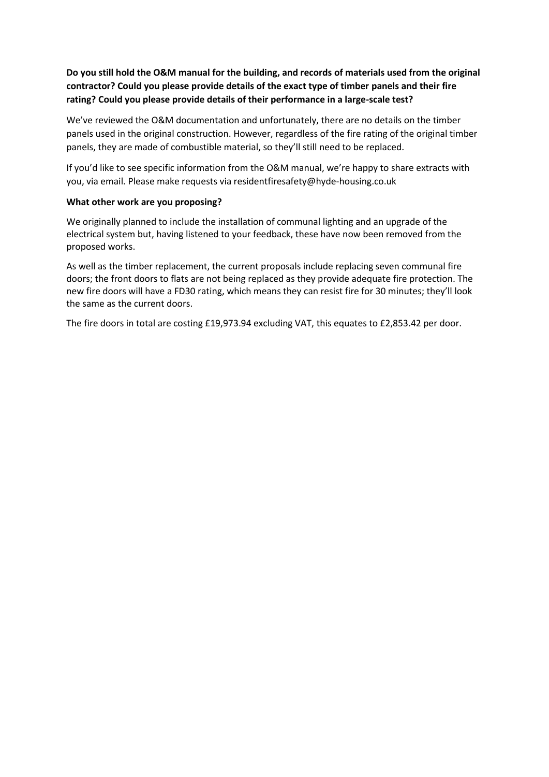## **Do you still hold the O&M manual for the building, and records of materials used from the original contractor? Could you please provide details of the exact type of timber panels and their fire rating? Could you please provide details of their performance in a large-scale test?**

We've reviewed the O&M documentation and unfortunately, there are no details on the timber panels used in the original construction. However, regardless of the fire rating of the original timber panels, they are made of combustible material, so they'll still need to be replaced.

If you'd like to see specific information from the O&M manual, we're happy to share extracts with you, via email. Please make requests via residentfiresafety@hyde-housing.co.uk

#### **What other work are you proposing?**

We originally planned to include the installation of communal lighting and an upgrade of the electrical system but, having listened to your feedback, these have now been removed from the proposed works.

As well as the timber replacement, the current proposals include replacing seven communal fire doors; the front doors to flats are not being replaced as they provide adequate fire protection. The new fire doors will have a FD30 rating, which means they can resist fire for 30 minutes; they'll look the same as the current doors.

The fire doors in total are costing £19,973.94 excluding VAT, this equates to £2,853.42 per door.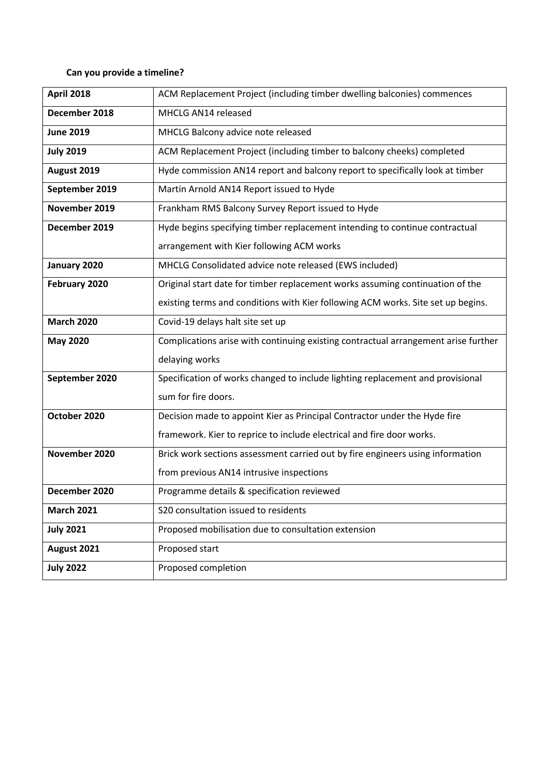## **Can you provide a timeline?**

| <b>April 2018</b> | ACM Replacement Project (including timber dwelling balconies) commences            |
|-------------------|------------------------------------------------------------------------------------|
| December 2018     | MHCLG AN14 released                                                                |
| <b>June 2019</b>  | MHCLG Balcony advice note released                                                 |
| <b>July 2019</b>  | ACM Replacement Project (including timber to balcony cheeks) completed             |
| August 2019       | Hyde commission AN14 report and balcony report to specifically look at timber      |
| September 2019    | Martin Arnold AN14 Report issued to Hyde                                           |
| November 2019     | Frankham RMS Balcony Survey Report issued to Hyde                                  |
| December 2019     | Hyde begins specifying timber replacement intending to continue contractual        |
|                   | arrangement with Kier following ACM works                                          |
| January 2020      | MHCLG Consolidated advice note released (EWS included)                             |
| February 2020     | Original start date for timber replacement works assuming continuation of the      |
|                   | existing terms and conditions with Kier following ACM works. Site set up begins.   |
| <b>March 2020</b> | Covid-19 delays halt site set up                                                   |
| <b>May 2020</b>   | Complications arise with continuing existing contractual arrangement arise further |
|                   | delaying works                                                                     |
| September 2020    | Specification of works changed to include lighting replacement and provisional     |
|                   | sum for fire doors.                                                                |
| October 2020      | Decision made to appoint Kier as Principal Contractor under the Hyde fire          |
|                   | framework. Kier to reprice to include electrical and fire door works.              |
| November 2020     | Brick work sections assessment carried out by fire engineers using information     |
|                   | from previous AN14 intrusive inspections                                           |
| December 2020     | Programme details & specification reviewed                                         |
| <b>March 2021</b> | S20 consultation issued to residents                                               |
| <b>July 2021</b>  | Proposed mobilisation due to consultation extension                                |
| August 2021       | Proposed start                                                                     |
| <b>July 2022</b>  | Proposed completion                                                                |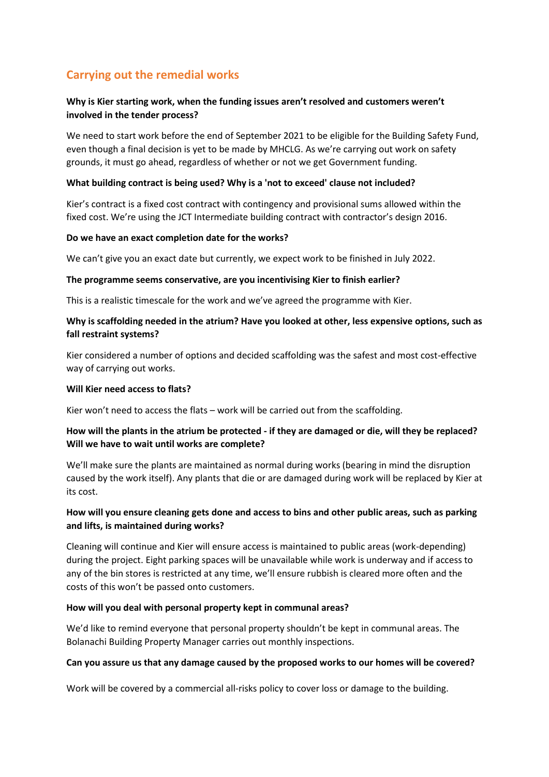# **Carrying out the remedial works**

## **Why is Kier starting work, when the funding issues aren't resolved and customers weren't involved in the tender process?**

We need to start work before the end of September 2021 to be eligible for the Building Safety Fund, even though a final decision is yet to be made by MHCLG. As we're carrying out work on safety grounds, it must go ahead, regardless of whether or not we get Government funding.

#### **What building contract is being used? Why is a 'not to exceed' clause not included?**

Kier's contract is a fixed cost contract with contingency and provisional sums allowed within the fixed cost. We're using the JCT Intermediate building contract with contractor's design 2016.

#### **Do we have an exact completion date for the works?**

We can't give you an exact date but currently, we expect work to be finished in July 2022.

#### **The programme seems conservative, are you incentivising Kier to finish earlier?**

This is a realistic timescale for the work and we've agreed the programme with Kier.

### **Why is scaffolding needed in the atrium? Have you looked at other, less expensive options, such as fall restraint systems?**

Kier considered a number of options and decided scaffolding was the safest and most cost-effective way of carrying out works.

#### **Will Kier need access to flats?**

Kier won't need to access the flats – work will be carried out from the scaffolding.

## **How will the plants in the atrium be protected - if they are damaged or die, will they be replaced? Will we have to wait until works are complete?**

We'll make sure the plants are maintained as normal during works (bearing in mind the disruption caused by the work itself). Any plants that die or are damaged during work will be replaced by Kier at its cost.

## **How will you ensure cleaning gets done and access to bins and other public areas, such as parking and lifts, is maintained during works?**

Cleaning will continue and Kier will ensure access is maintained to public areas (work-depending) during the project. Eight parking spaces will be unavailable while work is underway and if access to any of the bin stores is restricted at any time, we'll ensure rubbish is cleared more often and the costs of this won't be passed onto customers.

#### **How will you deal with personal property kept in communal areas?**

We'd like to remind everyone that personal property shouldn't be kept in communal areas. The Bolanachi Building Property Manager carries out monthly inspections.

#### **Can you assure us that any damage caused by the proposed works to our homes will be covered?**

Work will be covered by a commercial all-risks policy to cover loss or damage to the building.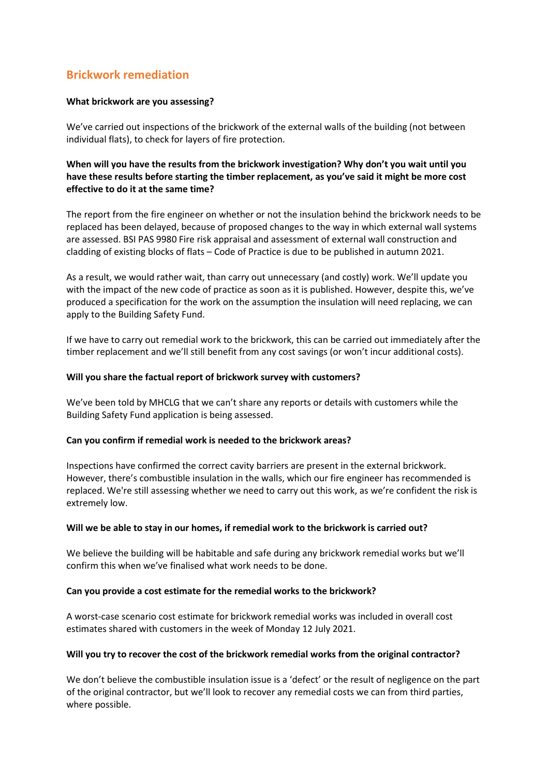# **Brickwork remediation**

#### **What brickwork are you assessing?**

We've carried out inspections of the brickwork of the external walls of the building (not between individual flats), to check for layers of fire protection.

### **When will you have the results from the brickwork investigation? Why don't you wait until you have these results before starting the timber replacement, as you've said it might be more cost effective to do it at the same time?**

The report from the fire engineer on whether or not the insulation behind the brickwork needs to be replaced has been delayed, because of proposed changes to the way in which external wall systems are assessed. BSI PAS 9980 Fire risk appraisal and assessment of external wall construction and cladding of existing blocks of flats – Code of Practice is due to be published in autumn 2021.

As a result, we would rather wait, than carry out unnecessary (and costly) work. We'll update you with the impact of the new code of practice as soon as it is published. However, despite this, we've produced a specification for the work on the assumption the insulation will need replacing, we can apply to the Building Safety Fund.

If we have to carry out remedial work to the brickwork, this can be carried out immediately after the timber replacement and we'll still benefit from any cost savings (or won't incur additional costs).

#### **Will you share the factual report of brickwork survey with customers?**

We've been told by MHCLG that we can't share any reports or details with customers while the Building Safety Fund application is being assessed.

#### **Can you confirm if remedial work is needed to the brickwork areas?**

Inspections have confirmed the correct cavity barriers are present in the external brickwork. However, there's combustible insulation in the walls, which our fire engineer has recommended is replaced. We're still assessing whether we need to carry out this work, as we're confident the risk is extremely low.

#### **Will we be able to stay in our homes, if remedial work to the brickwork is carried out?**

We believe the building will be habitable and safe during any brickwork remedial works but we'll confirm this when we've finalised what work needs to be done.

#### **Can you provide a cost estimate for the remedial works to the brickwork?**

A worst-case scenario cost estimate for brickwork remedial works was included in overall cost estimates shared with customers in the week of Monday 12 July 2021.

#### **Will you try to recover the cost of the brickwork remedial works from the original contractor?**

We don't believe the combustible insulation issue is a 'defect' or the result of negligence on the part of the original contractor, but we'll look to recover any remedial costs we can from third parties, where possible.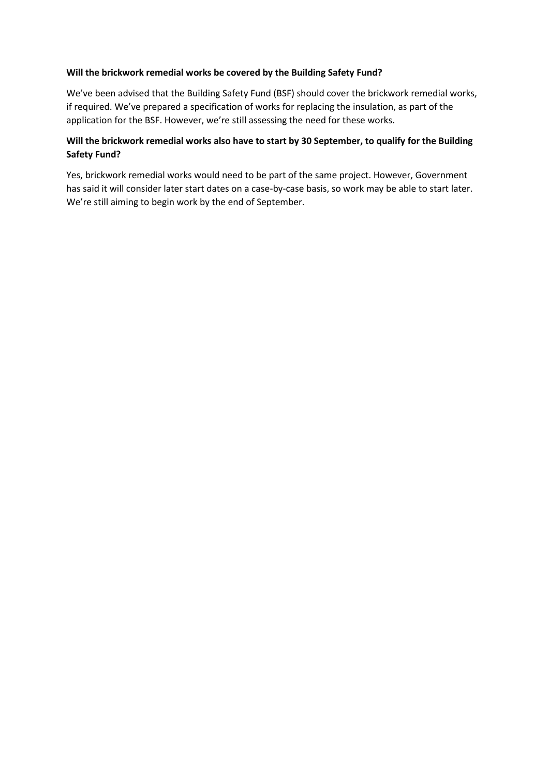#### **Will the brickwork remedial works be covered by the Building Safety Fund?**

We've been advised that the Building Safety Fund (BSF) should cover the brickwork remedial works, if required. We've prepared a specification of works for replacing the insulation, as part of the application for the BSF. However, we're still assessing the need for these works.

## **Will the brickwork remedial works also have to start by 30 September, to qualify for the Building Safety Fund?**

Yes, brickwork remedial works would need to be part of the same project. However, Government has said it will consider later start dates on a case-by-case basis, so work may be able to start later. We're still aiming to begin work by the end of September.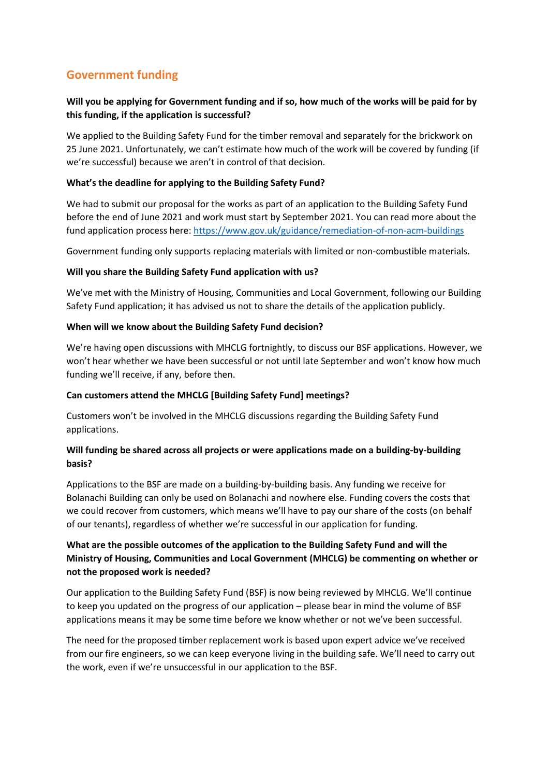# **Government funding**

## **Will you be applying for Government funding and if so, how much of the works will be paid for by this funding, if the application is successful?**

We applied to the Building Safety Fund for the timber removal and separately for the brickwork on 25 June 2021. Unfortunately, we can't estimate how much of the work will be covered by funding (if we're successful) because we aren't in control of that decision.

### **What's the deadline for applying to the Building Safety Fund?**

We had to submit our proposal for the works as part of an application to the Building Safety Fund before the end of June 2021 and work must start by September 2021. You can read more about the fund application process here:<https://www.gov.uk/guidance/remediation-of-non-acm-buildings>

Government funding only supports replacing materials with limited or non-combustible materials.

#### **Will you share the Building Safety Fund application with us?**

We've met with the Ministry of Housing, Communities and Local Government, following our Building Safety Fund application; it has advised us not to share the details of the application publicly.

#### **When will we know about the Building Safety Fund decision?**

We're having open discussions with MHCLG fortnightly, to discuss our BSF applications. However, we won't hear whether we have been successful or not until late September and won't know how much funding we'll receive, if any, before then.

## **Can customers attend the MHCLG [Building Safety Fund] meetings?**

Customers won't be involved in the MHCLG discussions regarding the Building Safety Fund applications.

## **Will funding be shared across all projects or were applications made on a building-by-building basis?**

Applications to the BSF are made on a building-by-building basis. Any funding we receive for Bolanachi Building can only be used on Bolanachi and nowhere else. Funding covers the costs that we could recover from customers, which means we'll have to pay our share of the costs (on behalf of our tenants), regardless of whether we're successful in our application for funding.

## **What are the possible outcomes of the application to the Building Safety Fund and will the Ministry of Housing, Communities and Local Government (MHCLG) be commenting on whether or not the proposed work is needed?**

Our application to the Building Safety Fund (BSF) is now being reviewed by MHCLG. We'll continue to keep you updated on the progress of our application – please bear in mind the volume of BSF applications means it may be some time before we know whether or not we've been successful.

The need for the proposed timber replacement work is based upon expert advice we've received from our fire engineers, so we can keep everyone living in the building safe. We'll need to carry out the work, even if we're unsuccessful in our application to the BSF.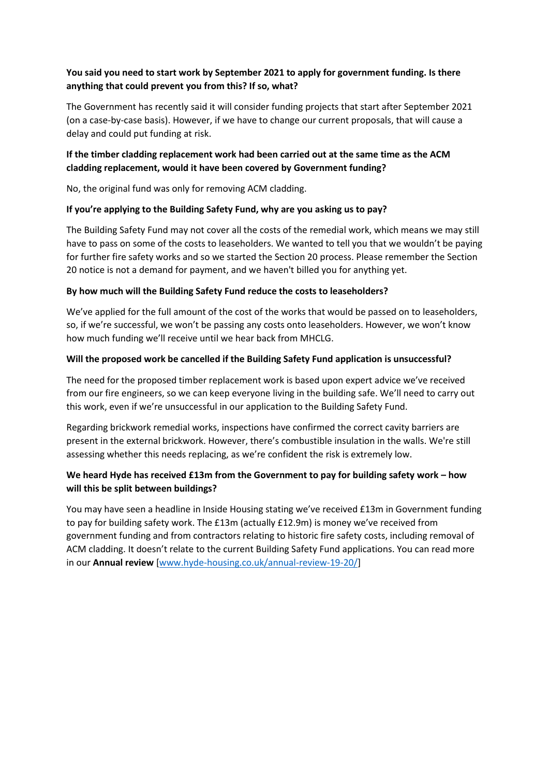## **You said you need to start work by September 2021 to apply for government funding. Is there anything that could prevent you from this? If so, what?**

The Government has recently said it will consider funding projects that start after September 2021 (on a case-by-case basis). However, if we have to change our current proposals, that will cause a delay and could put funding at risk.

## **If the timber cladding replacement work had been carried out at the same time as the ACM cladding replacement, would it have been covered by Government funding?**

No, the original fund was only for removing ACM cladding.

## **If you're applying to the Building Safety Fund, why are you asking us to pay?**

The Building Safety Fund may not cover all the costs of the remedial work, which means we may still have to pass on some of the costs to leaseholders. We wanted to tell you that we wouldn't be paying for further fire safety works and so we started the Section 20 process. Please remember the Section 20 notice is not a demand for payment, and we haven't billed you for anything yet.

#### **By how much will the Building Safety Fund reduce the costs to leaseholders?**

We've applied for the full amount of the cost of the works that would be passed on to leaseholders, so, if we're successful, we won't be passing any costs onto leaseholders. However, we won't know how much funding we'll receive until we hear back from MHCLG.

#### **Will the proposed work be cancelled if the Building Safety Fund application is unsuccessful?**

The need for the proposed timber replacement work is based upon expert advice we've received from our fire engineers, so we can keep everyone living in the building safe. We'll need to carry out this work, even if we're unsuccessful in our application to the Building Safety Fund.

Regarding brickwork remedial works, inspections have confirmed the correct cavity barriers are present in the external brickwork. However, there's combustible insulation in the walls. We're still assessing whether this needs replacing, as we're confident the risk is extremely low.

## **We heard Hyde has received £13m from the Government to pay for building safety work – how will this be split between buildings?**

You may have seen a headline in Inside Housing stating we've received £13m in Government funding to pay for building safety work. The £13m (actually £12.9m) is money we've received from government funding and from contractors relating to historic fire safety costs, including removal of ACM cladding. It doesn't relate to the current Building Safety Fund applications. You can read more in our **Annual review** [\[www.hyde-housing.co.uk/annual-review-19-20/\]](http://www.hyde-housing.co.uk/annual-review-19-20/)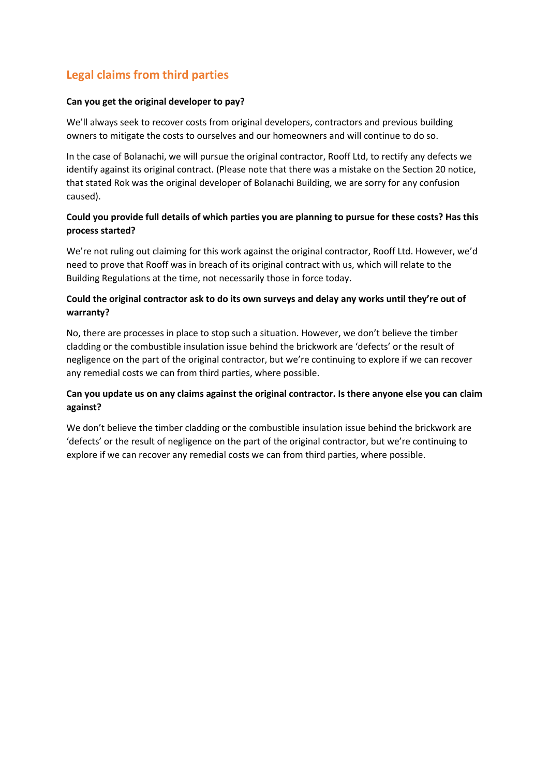# **Legal claims from third parties**

#### **Can you get the original developer to pay?**

We'll always seek to recover costs from original developers, contractors and previous building owners to mitigate the costs to ourselves and our homeowners and will continue to do so.

In the case of Bolanachi, we will pursue the original contractor, Rooff Ltd, to rectify any defects we identify against its original contract. (Please note that there was a mistake on the Section 20 notice, that stated Rok was the original developer of Bolanachi Building, we are sorry for any confusion caused).

## **Could you provide full details of which parties you are planning to pursue for these costs? Has this process started?**

We're not ruling out claiming for this work against the original contractor, Rooff Ltd. However, we'd need to prove that Rooff was in breach of its original contract with us, which will relate to the Building Regulations at the time, not necessarily those in force today.

## **Could the original contractor ask to do its own surveys and delay any works until they're out of warranty?**

No, there are processes in place to stop such a situation. However, we don't believe the timber cladding or the combustible insulation issue behind the brickwork are 'defects' or the result of negligence on the part of the original contractor, but we're continuing to explore if we can recover any remedial costs we can from third parties, where possible.

## **Can you update us on any claims against the original contractor. Is there anyone else you can claim against?**

We don't believe the timber cladding or the combustible insulation issue behind the brickwork are 'defects' or the result of negligence on the part of the original contractor, but we're continuing to explore if we can recover any remedial costs we can from third parties, where possible.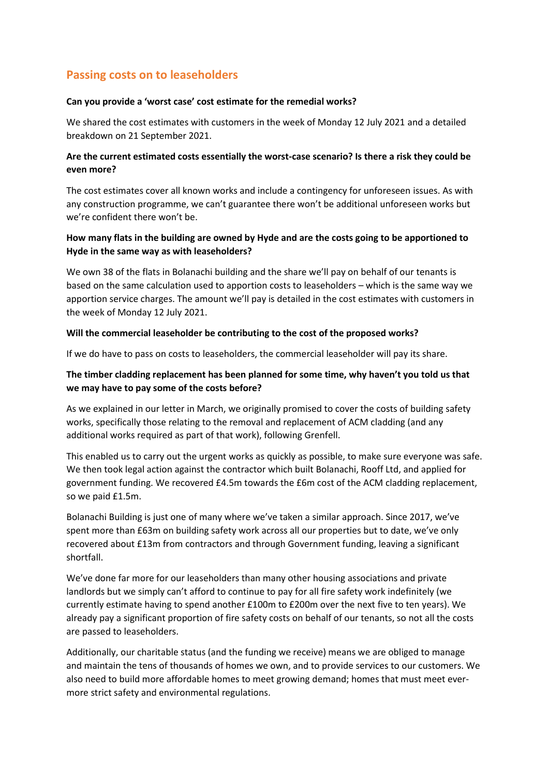# **Passing costs on to leaseholders**

#### **Can you provide a 'worst case' cost estimate for the remedial works?**

We shared the cost estimates with customers in the week of Monday 12 July 2021 and a detailed breakdown on 21 September 2021.

## **Are the current estimated costs essentially the worst-case scenario? Is there a risk they could be even more?**

The cost estimates cover all known works and include a contingency for unforeseen issues. As with any construction programme, we can't guarantee there won't be additional unforeseen works but we're confident there won't be.

### **How many flats in the building are owned by Hyde and are the costs going to be apportioned to Hyde in the same way as with leaseholders?**

We own 38 of the flats in Bolanachi building and the share we'll pay on behalf of our tenants is based on the same calculation used to apportion costs to leaseholders – which is the same way we apportion service charges. The amount we'll pay is detailed in the cost estimates with customers in the week of Monday 12 July 2021.

#### **Will the commercial leaseholder be contributing to the cost of the proposed works?**

If we do have to pass on costs to leaseholders, the commercial leaseholder will pay its share.

## **The timber cladding replacement has been planned for some time, why haven't you told us that we may have to pay some of the costs before?**

As we explained in our letter in March, we originally promised to cover the costs of building safety works, specifically those relating to the removal and replacement of ACM cladding (and any additional works required as part of that work), following Grenfell.

This enabled us to carry out the urgent works as quickly as possible, to make sure everyone was safe. We then took legal action against the contractor which built Bolanachi, Rooff Ltd, and applied for government funding. We recovered £4.5m towards the £6m cost of the ACM cladding replacement, so we paid £1.5m.

Bolanachi Building is just one of many where we've taken a similar approach. Since 2017, we've spent more than £63m on building safety work across all our properties but to date, we've only recovered about £13m from contractors and through Government funding, leaving a significant shortfall.

We've done far more for our leaseholders than many other housing associations and private landlords but we simply can't afford to continue to pay for all fire safety work indefinitely (we currently estimate having to spend another £100m to £200m over the next five to ten years). We already pay a significant proportion of fire safety costs on behalf of our tenants, so not all the costs are passed to leaseholders.

Additionally, our charitable status (and the funding we receive) means we are obliged to manage and maintain the tens of thousands of homes we own, and to provide services to our customers. We also need to build more affordable homes to meet growing demand; homes that must meet evermore strict safety and environmental regulations.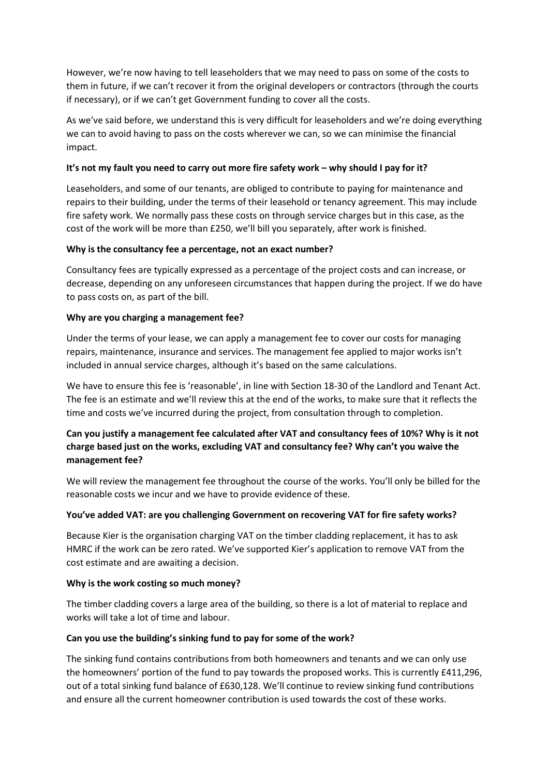However, we're now having to tell leaseholders that we may need to pass on some of the costs to them in future, if we can't recover it from the original developers or contractors (through the courts if necessary), or if we can't get Government funding to cover all the costs.

As we've said before, we understand this is very difficult for leaseholders and we're doing everything we can to avoid having to pass on the costs wherever we can, so we can minimise the financial impact.

#### **It's not my fault you need to carry out more fire safety work – why should I pay for it?**

Leaseholders, and some of our tenants, are obliged to contribute to paying for maintenance and repairs to their building, under the terms of their leasehold or tenancy agreement. This may include fire safety work. We normally pass these costs on through service charges but in this case, as the cost of the work will be more than £250, we'll bill you separately, after work is finished.

#### **Why is the consultancy fee a percentage, not an exact number?**

Consultancy fees are typically expressed as a percentage of the project costs and can increase, or decrease, depending on any unforeseen circumstances that happen during the project. If we do have to pass costs on, as part of the bill.

#### **Why are you charging a management fee?**

Under the terms of your lease, we can apply a management fee to cover our costs for managing repairs, maintenance, insurance and services. The management fee applied to major works isn't included in annual service charges, although it's based on the same calculations.

We have to ensure this fee is 'reasonable', in line with Section 18-30 of the Landlord and Tenant Act. The fee is an estimate and we'll review this at the end of the works, to make sure that it reflects the time and costs we've incurred during the project, from consultation through to completion.

## **Can you justify a management fee calculated after VAT and consultancy fees of 10%? Why is it not charge based just on the works, excluding VAT and consultancy fee? Why can't you waive the management fee?**

We will review the management fee throughout the course of the works. You'll only be billed for the reasonable costs we incur and we have to provide evidence of these.

#### **You've added VAT: are you challenging Government on recovering VAT for fire safety works?**

Because Kier is the organisation charging VAT on the timber cladding replacement, it has to ask HMRC if the work can be zero rated. We've supported Kier's application to remove VAT from the cost estimate and are awaiting a decision.

#### **Why is the work costing so much money?**

The timber cladding covers a large area of the building, so there is a lot of material to replace and works will take a lot of time and labour.

## **Can you use the building's sinking fund to pay for some of the work?**

The sinking fund contains contributions from both homeowners and tenants and we can only use the homeowners' portion of the fund to pay towards the proposed works. This is currently £411,296, out of a total sinking fund balance of £630,128. We'll continue to review sinking fund contributions and ensure all the current homeowner contribution is used towards the cost of these works.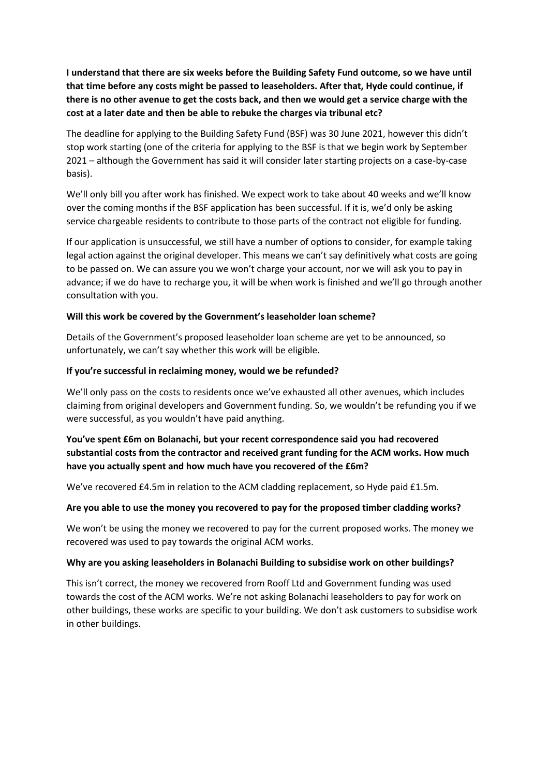**I understand that there are six weeks before the Building Safety Fund outcome, so we have until that time before any costs might be passed to leaseholders. After that, Hyde could continue, if there is no other avenue to get the costs back, and then we would get a service charge with the cost at a later date and then be able to rebuke the charges via tribunal etc?**

The deadline for applying to the Building Safety Fund (BSF) was 30 June 2021, however this didn't stop work starting (one of the criteria for applying to the BSF is that we begin work by September 2021 – although the Government has said it will consider later starting projects on a case-by-case basis).

We'll only bill you after work has finished. We expect work to take about 40 weeks and we'll know over the coming months if the BSF application has been successful. If it is, we'd only be asking service chargeable residents to contribute to those parts of the contract not eligible for funding.

If our application is unsuccessful, we still have a number of options to consider, for example taking legal action against the original developer. This means we can't say definitively what costs are going to be passed on. We can assure you we won't charge your account, nor we will ask you to pay in advance; if we do have to recharge you, it will be when work is finished and we'll go through another consultation with you.

#### **Will this work be covered by the Government's leaseholder loan scheme?**

Details of the Government's proposed leaseholder loan scheme are yet to be announced, so unfortunately, we can't say whether this work will be eligible.

#### **If you're successful in reclaiming money, would we be refunded?**

We'll only pass on the costs to residents once we've exhausted all other avenues, which includes claiming from original developers and Government funding. So, we wouldn't be refunding you if we were successful, as you wouldn't have paid anything.

## **You've spent £6m on Bolanachi, but your recent correspondence said you had recovered substantial costs from the contractor and received grant funding for the ACM works. How much have you actually spent and how much have you recovered of the £6m?**

We've recovered £4.5m in relation to the ACM cladding replacement, so Hyde paid £1.5m.

#### **Are you able to use the money you recovered to pay for the proposed timber cladding works?**

We won't be using the money we recovered to pay for the current proposed works. The money we recovered was used to pay towards the original ACM works.

#### **Why are you asking leaseholders in Bolanachi Building to subsidise work on other buildings?**

This isn't correct, the money we recovered from Rooff Ltd and Government funding was used towards the cost of the ACM works. We're not asking Bolanachi leaseholders to pay for work on other buildings, these works are specific to your building. We don't ask customers to subsidise work in other buildings.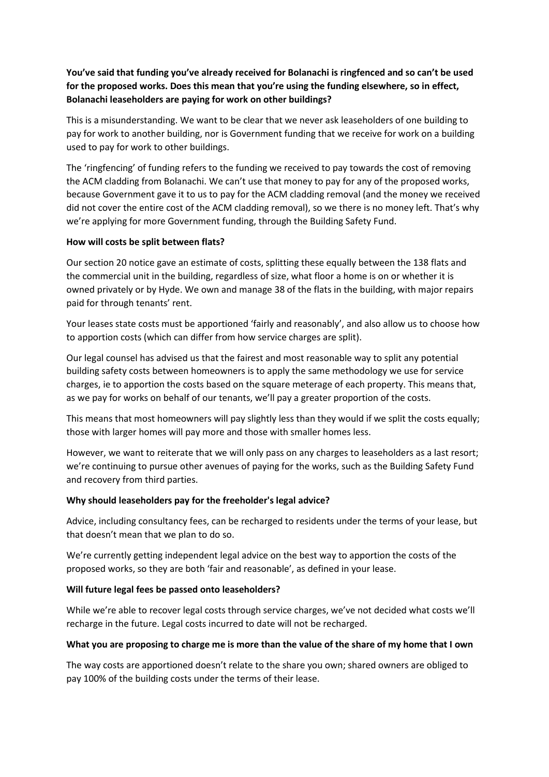**You've said that funding you've already received for Bolanachi is ringfenced and so can't be used for the proposed works. Does this mean that you're using the funding elsewhere, so in effect, Bolanachi leaseholders are paying for work on other buildings?**

This is a misunderstanding. We want to be clear that we never ask leaseholders of one building to pay for work to another building, nor is Government funding that we receive for work on a building used to pay for work to other buildings.

The 'ringfencing' of funding refers to the funding we received to pay towards the cost of removing the ACM cladding from Bolanachi. We can't use that money to pay for any of the proposed works, because Government gave it to us to pay for the ACM cladding removal (and the money we received did not cover the entire cost of the ACM cladding removal), so we there is no money left. That's why we're applying for more Government funding, through the Building Safety Fund.

#### **How will costs be split between flats?**

Our section 20 notice gave an estimate of costs, splitting these equally between the 138 flats and the commercial unit in the building, regardless of size, what floor a home is on or whether it is owned privately or by Hyde. We own and manage 38 of the flats in the building, with major repairs paid for through tenants' rent.

Your leases state costs must be apportioned 'fairly and reasonably', and also allow us to choose how to apportion costs (which can differ from how service charges are split).

Our legal counsel has advised us that the fairest and most reasonable way to split any potential building safety costs between homeowners is to apply the same methodology we use for service charges, ie to apportion the costs based on the square meterage of each property. This means that, as we pay for works on behalf of our tenants, we'll pay a greater proportion of the costs.

This means that most homeowners will pay slightly less than they would if we split the costs equally; those with larger homes will pay more and those with smaller homes less.

However, we want to reiterate that we will only pass on any charges to leaseholders as a last resort; we're continuing to pursue other avenues of paying for the works, such as the Building Safety Fund and recovery from third parties.

#### **Why should leaseholders pay for the freeholder's legal advice?**

Advice, including consultancy fees, can be recharged to residents under the terms of your lease, but that doesn't mean that we plan to do so.

We're currently getting independent legal advice on the best way to apportion the costs of the proposed works, so they are both 'fair and reasonable', as defined in your lease.

#### **Will future legal fees be passed onto leaseholders?**

While we're able to recover legal costs through service charges, we've not decided what costs we'll recharge in the future. Legal costs incurred to date will not be recharged.

#### **What you are proposing to charge me is more than the value of the share of my home that I own**

The way costs are apportioned doesn't relate to the share you own; shared owners are obliged to pay 100% of the building costs under the terms of their lease.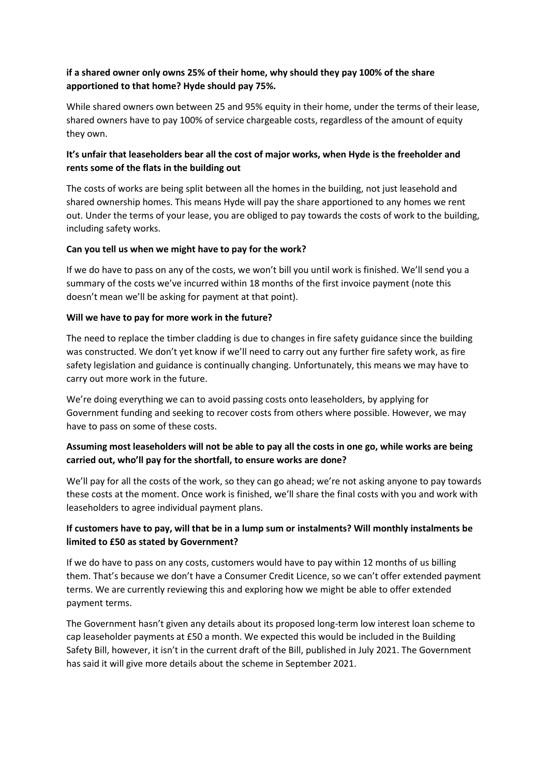## **if a shared owner only owns 25% of their home, why should they pay 100% of the share apportioned to that home? Hyde should pay 75%.**

While shared owners own between 25 and 95% equity in their home, under the terms of their lease, shared owners have to pay 100% of service chargeable costs, regardless of the amount of equity they own.

## **It's unfair that leaseholders bear all the cost of major works, when Hyde is the freeholder and rents some of the flats in the building out**

The costs of works are being split between all the homes in the building, not just leasehold and shared ownership homes. This means Hyde will pay the share apportioned to any homes we rent out. Under the terms of your lease, you are obliged to pay towards the costs of work to the building, including safety works.

#### **Can you tell us when we might have to pay for the work?**

If we do have to pass on any of the costs, we won't bill you until work is finished. We'll send you a summary of the costs we've incurred within 18 months of the first invoice payment (note this doesn't mean we'll be asking for payment at that point).

#### **Will we have to pay for more work in the future?**

The need to replace the timber cladding is due to changes in fire safety guidance since the building was constructed. We don't yet know if we'll need to carry out any further fire safety work, as fire safety legislation and guidance is continually changing. Unfortunately, this means we may have to carry out more work in the future.

We're doing everything we can to avoid passing costs onto leaseholders, by applying for Government funding and seeking to recover costs from others where possible. However, we may have to pass on some of these costs.

## **Assuming most leaseholders will not be able to pay all the costs in one go, while works are being carried out, who'll pay for the shortfall, to ensure works are done?**

We'll pay for all the costs of the work, so they can go ahead; we're not asking anyone to pay towards these costs at the moment. Once work is finished, we'll share the final costs with you and work with leaseholders to agree individual payment plans.

## **If customers have to pay, will that be in a lump sum or instalments? Will monthly instalments be limited to £50 as stated by Government?**

If we do have to pass on any costs, customers would have to pay within 12 months of us billing them. That's because we don't have a Consumer Credit Licence, so we can't offer extended payment terms. We are currently reviewing this and exploring how we might be able to offer extended payment terms.

The Government hasn't given any details about its proposed long-term low interest loan scheme to cap leaseholder payments at £50 a month. We expected this would be included in the Building Safety Bill, however, it isn't in the current draft of the Bill, published in July 2021. The Government has said it will give more details about the scheme in September 2021.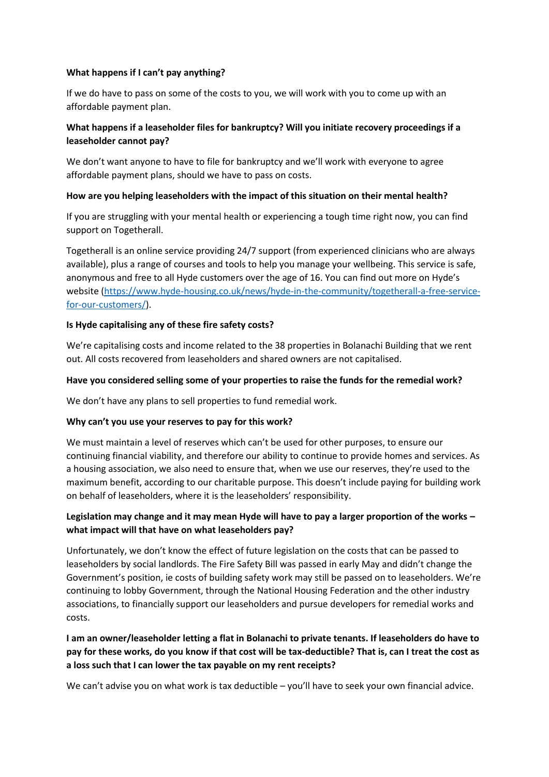#### **What happens if I can't pay anything?**

If we do have to pass on some of the costs to you, we will work with you to come up with an affordable payment plan.

## **What happens if a leaseholder files for bankruptcy? Will you initiate recovery proceedings if a leaseholder cannot pay?**

We don't want anyone to have to file for bankruptcy and we'll work with everyone to agree affordable payment plans, should we have to pass on costs.

#### **How are you helping leaseholders with the impact of this situation on their mental health?**

If you are struggling with your mental health or experiencing a tough time right now, you can find support on Togetherall.

[Togetherall](http://www.togetherall.com/joinnow/hyde) is an online service providing 24/7 support (from experienced clinicians who are always available), plus a range of courses and tools to help you manage your wellbeing. This service is safe, anonymous and free to all Hyde customers over the age of 16. You can find out more on Hyde's website [\(https://www.hyde-housing.co.uk/news/hyde-in-the-community/togetherall-a-free-service](https://www.hyde-housing.co.uk/news/hyde-in-the-community/togetherall-a-free-service-for-our-customers/)[for-our-customers/\)](https://www.hyde-housing.co.uk/news/hyde-in-the-community/togetherall-a-free-service-for-our-customers/).

#### **Is Hyde capitalising any of these fire safety costs?**

We're capitalising costs and income related to the 38 properties in Bolanachi Building that we rent out. All costs recovered from leaseholders and shared owners are not capitalised.

#### **Have you considered selling some of your properties to raise the funds for the remedial work?**

We don't have any plans to sell properties to fund remedial work.

## **Why can't you use your reserves to pay for this work?**

We must maintain a level of reserves which can't be used for other purposes, to ensure our continuing financial viability, and therefore our ability to continue to provide homes and services. As a housing association, we also need to ensure that, when we use our reserves, they're used to the maximum benefit, according to our charitable purpose. This doesn't include paying for building work on behalf of leaseholders, where it is the leaseholders' responsibility.

## **Legislation may change and it may mean Hyde will have to pay a larger proportion of the works – what impact will that have on what leaseholders pay?**

Unfortunately, we don't know the effect of future legislation on the costs that can be passed to leaseholders by social landlords. The Fire Safety Bill was passed in early May and didn't change the Government's position, ie costs of building safety work may still be passed on to leaseholders. We're continuing to lobby Government, through the National Housing Federation and the other industry associations, to financially support our leaseholders and pursue developers for remedial works and costs.

## **I am an owner/leaseholder letting a flat in Bolanachi to private tenants. If leaseholders do have to pay for these works, do you know if that cost will be tax-deductible? That is, can I treat the cost as a loss such that I can lower the tax payable on my rent receipts?**

We can't advise you on what work is tax deductible – you'll have to seek your own financial advice.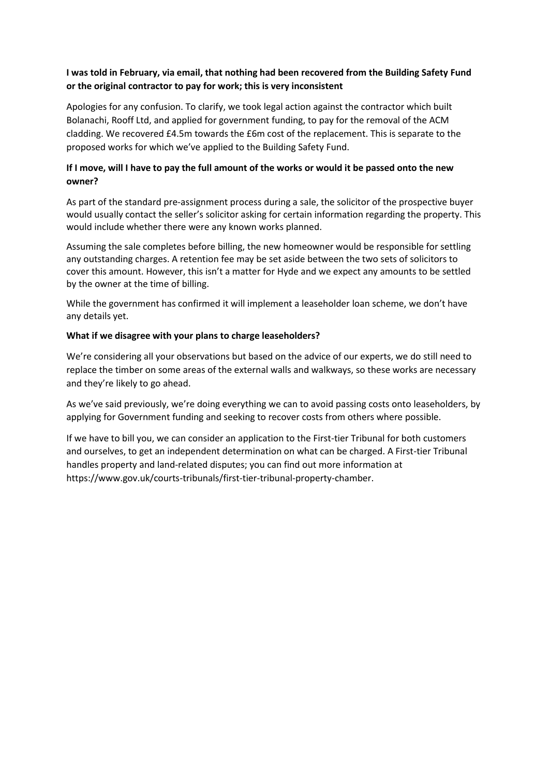## **I was told in February, via email, that nothing had been recovered from the Building Safety Fund or the original contractor to pay for work; this is very inconsistent**

Apologies for any confusion. To clarify, we took legal action against the contractor which built Bolanachi, Rooff Ltd, and applied for government funding, to pay for the removal of the ACM cladding. We recovered £4.5m towards the £6m cost of the replacement. This is separate to the proposed works for which we've applied to the Building Safety Fund.

## **If I move, will I have to pay the full amount of the works or would it be passed onto the new owner?**

As part of the standard pre-assignment process during a sale, the solicitor of the prospective buyer would usually contact the seller's solicitor asking for certain information regarding the property. This would include whether there were any known works planned.

Assuming the sale completes before billing, the new homeowner would be responsible for settling any outstanding charges. A retention fee may be set aside between the two sets of solicitors to cover this amount. However, this isn't a matter for Hyde and we expect any amounts to be settled by the owner at the time of billing.

While the government has confirmed it will implement a leaseholder loan scheme, we don't have any details yet.

#### **What if we disagree with your plans to charge leaseholders?**

We're considering all your observations but based on the advice of our experts, we do still need to replace the timber on some areas of the external walls and walkways, so these works are necessary and they're likely to go ahead.

As we've said previously, we're doing everything we can to avoid passing costs onto leaseholders, by applying for Government funding and seeking to recover costs from others where possible.

If we have to bill you, we can consider an application to the First-tier Tribunal for both customers and ourselves, to get an independent determination on what can be charged. A First-tier Tribunal handles property and land-related disputes; you can find out more information at [https://www.gov.uk/courts-tribunals/first-tier-tribunal-property-chamber.](https://www.gov.uk/courts-tribunals/first-tier-tribunal-property-chamber)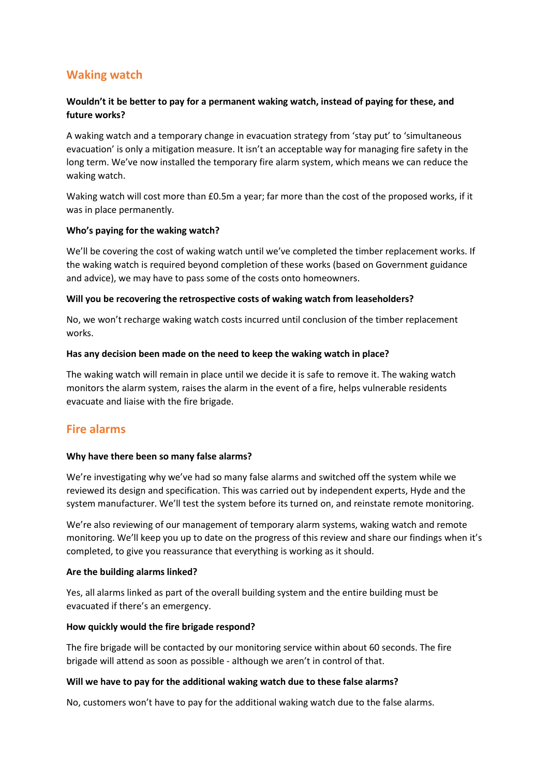# **Waking watch**

## **Wouldn't it be better to pay for a permanent waking watch, instead of paying for these, and future works?**

A waking watch and a temporary change in evacuation strategy from 'stay put' to 'simultaneous evacuation' is only a mitigation measure. It isn't an acceptable way for managing fire safety in the long term. We've now installed the temporary fire alarm system, which means we can reduce the waking watch.

Waking watch will cost more than £0.5m a year; far more than the cost of the proposed works, if it was in place permanently.

#### **Who's paying for the waking watch?**

We'll be covering the cost of waking watch until we've completed the timber replacement works. If the waking watch is required beyond completion of these works (based on Government guidance and advice), we may have to pass some of the costs onto homeowners.

#### **Will you be recovering the retrospective costs of waking watch from leaseholders?**

No, we won't recharge waking watch costs incurred until conclusion of the timber replacement works.

#### **Has any decision been made on the need to keep the waking watch in place?**

The waking watch will remain in place until we decide it is safe to remove it. The waking watch monitors the alarm system, raises the alarm in the event of a fire, helps vulnerable residents evacuate and liaise with the fire brigade.

## **Fire alarms**

#### **Why have there been so many false alarms?**

We're investigating why we've had so many false alarms and switched off the system while we reviewed its design and specification. This was carried out by independent experts, Hyde and the system manufacturer. We'll test the system before its turned on, and reinstate remote monitoring.

We're also reviewing of our management of temporary alarm systems, waking watch and remote monitoring. We'll keep you up to date on the progress of this review and share our findings when it's completed, to give you reassurance that everything is working as it should.

#### **Are the building alarms linked?**

Yes, all alarms linked as part of the overall building system and the entire building must be evacuated if there's an emergency.

#### **How quickly would the fire brigade respond?**

The fire brigade will be contacted by our monitoring service within about 60 seconds. The fire brigade will attend as soon as possible - although we aren't in control of that.

#### **Will we have to pay for the additional waking watch due to these false alarms?**

No, customers won't have to pay for the additional waking watch due to the false alarms.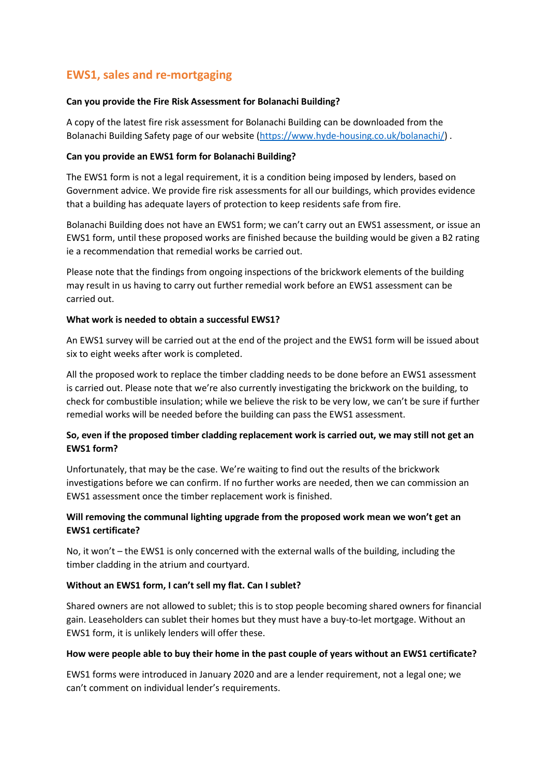# **EWS1, sales and re-mortgaging**

#### **Can you provide the Fire Risk Assessment for Bolanachi Building?**

A copy of the latest fire risk assessment for Bolanachi Building can be downloaded from the Bolanachi Building Safety page of our website [\(https://www.hyde-housing.co.uk/bolanachi/\)](https://www.hyde-housing.co.uk/bolanachi/) .

### **Can you provide an EWS1 form for Bolanachi Building?**

The EWS1 form is not a legal requirement, it is a condition being imposed by lenders, based on Government advice. We provide fire risk assessments for all our buildings, which provides evidence that a building has adequate layers of protection to keep residents safe from fire.

Bolanachi Building does not have an EWS1 form; we can't carry out an EWS1 assessment, or issue an EWS1 form, until these proposed works are finished because the building would be given a B2 rating ie a recommendation that remedial works be carried out.

Please note that the findings from ongoing inspections of the brickwork elements of the building may result in us having to carry out further remedial work before an EWS1 assessment can be carried out.

#### **What work is needed to obtain a successful EWS1?**

An EWS1 survey will be carried out at the end of the project and the EWS1 form will be issued about six to eight weeks after work is completed.

All the proposed work to replace the timber cladding needs to be done before an EWS1 assessment is carried out. Please note that we're also currently investigating the brickwork on the building, to check for combustible insulation; while we believe the risk to be very low, we can't be sure if further remedial works will be needed before the building can pass the EWS1 assessment.

## **So, even if the proposed timber cladding replacement work is carried out, we may still not get an EWS1 form?**

Unfortunately, that may be the case. We're waiting to find out the results of the brickwork investigations before we can confirm. If no further works are needed, then we can commission an EWS1 assessment once the timber replacement work is finished.

## **Will removing the communal lighting upgrade from the proposed work mean we won't get an EWS1 certificate?**

No, it won't – the EWS1 is only concerned with the external walls of the building, including the timber cladding in the atrium and courtyard.

## **Without an EWS1 form, I can't sell my flat. Can I sublet?**

Shared owners are not allowed to sublet; this is to stop people becoming shared owners for financial gain. Leaseholders can sublet their homes but they must have a buy-to-let mortgage. Without an EWS1 form, it is unlikely lenders will offer these.

#### **How were people able to buy their home in the past couple of years without an EWS1 certificate?**

EWS1 forms were introduced in January 2020 and are a lender requirement, not a legal one; we can't comment on individual lender's requirements.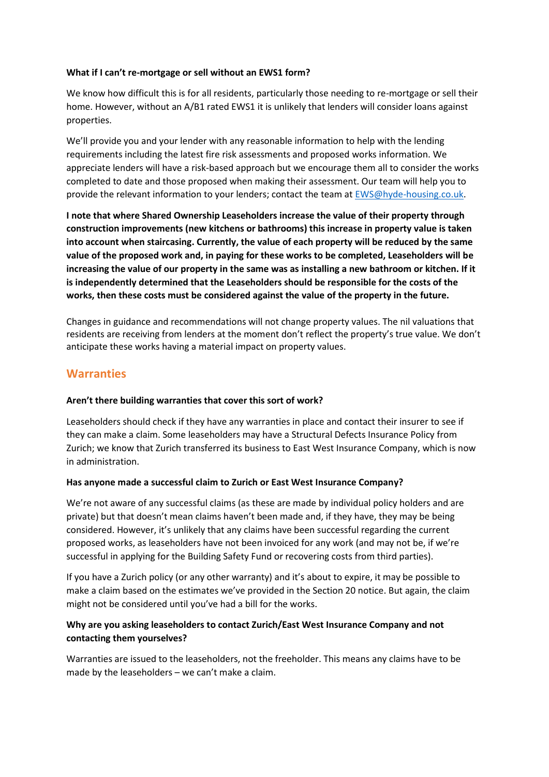#### **What if I can't re-mortgage or sell without an EWS1 form?**

We know how difficult this is for all residents, particularly those needing to re-mortgage or sell their home. However, without an A/B1 rated EWS1 it is unlikely that lenders will consider loans against properties.

We'll provide you and your lender with any reasonable information to help with the lending requirements including the latest fire risk assessments and proposed works information. We appreciate lenders will have a risk-based approach but we encourage them all to consider the works completed to date and those proposed when making their assessment. Our team will help you to provide the relevant information to your lenders; contact the team at **EWS@hyde-housing.co.uk.** 

**I note that where Shared Ownership Leaseholders increase the value of their property through construction improvements (new kitchens or bathrooms) this increase in property value is taken into account when staircasing. Currently, the value of each property will be reduced by the same value of the proposed work and, in paying for these works to be completed, Leaseholders will be increasing the value of our property in the same was as installing a new bathroom or kitchen. If it is independently determined that the Leaseholders should be responsible for the costs of the works, then these costs must be considered against the value of the property in the future.**

Changes in guidance and recommendations will not change property values. The nil valuations that residents are receiving from lenders at the moment don't reflect the property's true value. We don't anticipate these works having a material impact on property values.

## **Warranties**

#### **Aren't there building warranties that cover this sort of work?**

Leaseholders should check if they have any warranties in place and contact their insurer to see if they can make a claim. Some leaseholders may have a Structural Defects Insurance Policy from Zurich; we know that Zurich transferred its business to East West Insurance Company, which is now in administration.

#### **Has anyone made a successful claim to Zurich or East West Insurance Company?**

We're not aware of any successful claims (as these are made by individual policy holders and are private) but that doesn't mean claims haven't been made and, if they have, they may be being considered. However, it's unlikely that any claims have been successful regarding the current proposed works, as leaseholders have not been invoiced for any work (and may not be, if we're successful in applying for the Building Safety Fund or recovering costs from third parties).

If you have a Zurich policy (or any other warranty) and it's about to expire, it may be possible to make a claim based on the estimates we've provided in the Section 20 notice. But again, the claim might not be considered until you've had a bill for the works.

## **Why are you asking leaseholders to contact Zurich/East West Insurance Company and not contacting them yourselves?**

Warranties are issued to the leaseholders, not the freeholder. This means any claims have to be made by the leaseholders – we can't make a claim.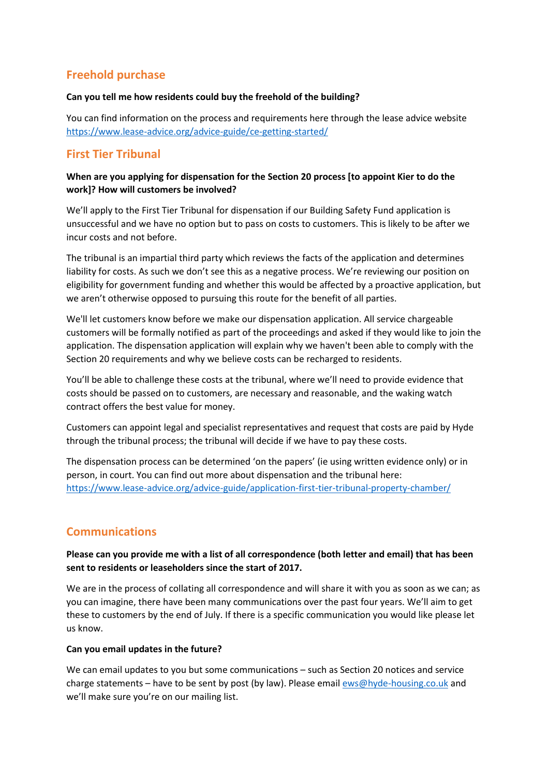# **Freehold purchase**

#### **Can you tell me how residents could buy the freehold of the building?**

You can find information on the process and requirements here through the lease advice website <https://www.lease-advice.org/advice-guide/ce-getting-started/>

# **First Tier Tribunal**

## **When are you applying for dispensation for the Section 20 process [to appoint Kier to do the work]? How will customers be involved?**

We'll apply to the First Tier Tribunal for dispensation if our Building Safety Fund application is unsuccessful and we have no option but to pass on costs to customers. This is likely to be after we incur costs and not before.

The tribunal is an impartial third party which reviews the facts of the application and determines liability for costs. As such we don't see this as a negative process. We're reviewing our position on eligibility for government funding and whether this would be affected by a proactive application, but we aren't otherwise opposed to pursuing this route for the benefit of all parties.

We'll let customers know before we make our dispensation application. All service chargeable customers will be formally notified as part of the proceedings and asked if they would like to join the application. The dispensation application will explain why we haven't been able to comply with the Section 20 requirements and why we believe costs can be recharged to residents.

You'll be able to challenge these costs at the tribunal, where we'll need to provide evidence that costs should be passed on to customers, are necessary and reasonable, and the waking watch contract offers the best value for money.

Customers can appoint legal and specialist representatives and request that costs are paid by Hyde through the tribunal process; the tribunal will decide if we have to pay these costs.

The dispensation process can be determined 'on the papers' (ie using written evidence only) or in person, in court. You can find out more about dispensation and the tribunal here: <https://www.lease-advice.org/advice-guide/application-first-tier-tribunal-property-chamber/>

# **Communications**

**Please can you provide me with a list of all correspondence (both letter and email) that has been sent to residents or leaseholders since the start of 2017.**

We are in the process of collating all correspondence and will share it with you as soon as we can; as you can imagine, there have been many communications over the past four years. We'll aim to get these to customers by the end of July. If there is a specific communication you would like please let us know.

## **Can you email updates in the future?**

We can email updates to you but some communications – such as Section 20 notices and service charge statements – have to be sent by post (by law). Please email [ews@hyde-housing.co.uk](mailto:ews@hyde-housing.co.uk) and we'll make sure you're on our mailing list.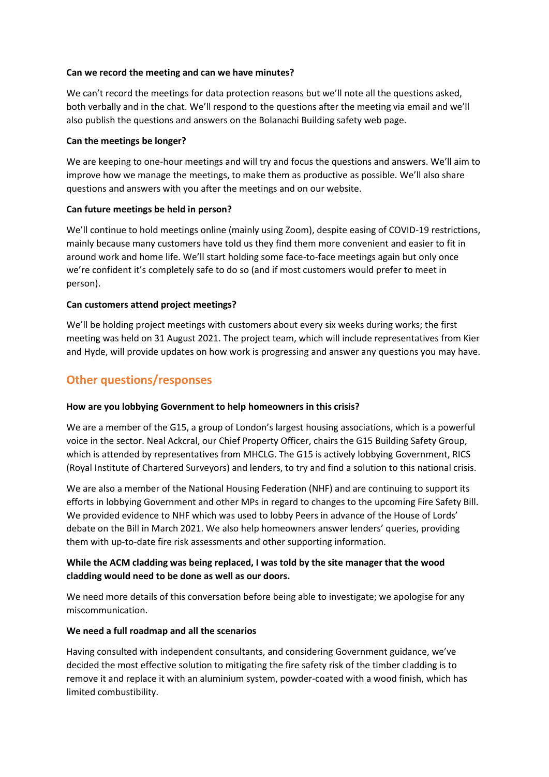#### **Can we record the meeting and can we have minutes?**

We can't record the meetings for data protection reasons but we'll note all the questions asked, both verbally and in the chat. We'll respond to the questions after the meeting via email and we'll also publish the questions and answers on the Bolanachi Building safety web page.

#### **Can the meetings be longer?**

We are keeping to one-hour meetings and will try and focus the questions and answers. We'll aim to improve how we manage the meetings, to make them as productive as possible. We'll also share questions and answers with you after the meetings and on our website.

## **Can future meetings be held in person?**

We'll continue to hold meetings online (mainly using Zoom), despite easing of COVID-19 restrictions, mainly because many customers have told us they find them more convenient and easier to fit in around work and home life. We'll start holding some face-to-face meetings again but only once we're confident it's completely safe to do so (and if most customers would prefer to meet in person).

#### **Can customers attend project meetings?**

We'll be holding project meetings with customers about every six weeks during works; the first meeting was held on 31 August 2021. The project team, which will include representatives from Kier and Hyde, will provide updates on how work is progressing and answer any questions you may have.

## **Other questions/responses**

## **How are you lobbying Government to help homeowners in this crisis?**

We are a member of the G15, a group of London's largest housing associations, which is a powerful voice in the sector. Neal Ackcral, our Chief Property Officer, chairs the G15 Building Safety Group, which is attended by representatives from MHCLG. The G15 is actively lobbying Government, RICS (Royal Institute of Chartered Surveyors) and lenders, to try and find a solution to this national crisis.

We are also a member of the National Housing Federation (NHF) and are continuing to support its efforts in lobbying Government and other MPs in regard to changes to the upcoming Fire Safety Bill. We provided evidence to NHF which was used to lobby Peers in advance of the House of Lords' debate on the Bill in March 2021. We also help homeowners answer lenders' queries, providing them with up-to-date fire risk assessments and other supporting information.

## **While the ACM cladding was being replaced, I was told by the site manager that the wood cladding would need to be done as well as our doors.**

We need more details of this conversation before being able to investigate; we apologise for any miscommunication.

#### **We need a full roadmap and all the scenarios**

Having consulted with independent consultants, and considering Government guidance, we've decided the most effective solution to mitigating the fire safety risk of the timber cladding is to remove it and replace it with an aluminium system, powder-coated with a wood finish, which has limited combustibility.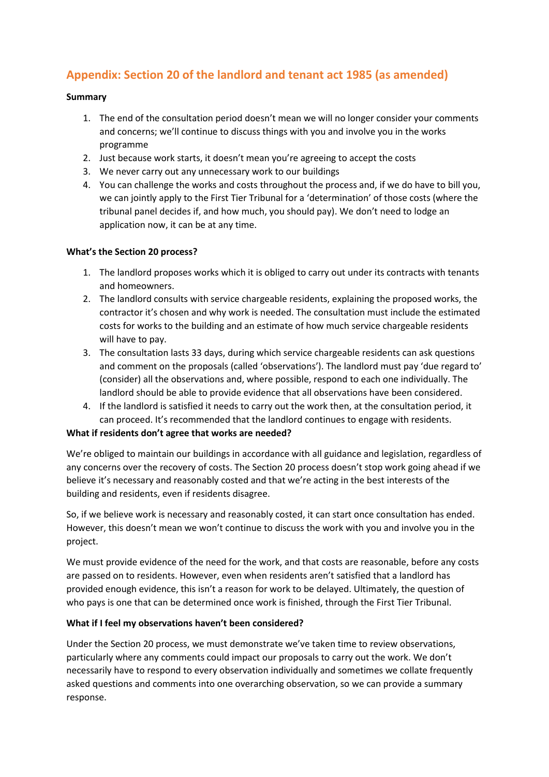# **Appendix: Section 20 of the landlord and tenant act 1985 (as amended)**

### **Summary**

- 1. The end of the consultation period doesn't mean we will no longer consider your comments and concerns; we'll continue to discuss things with you and involve you in the works programme
- 2. Just because work starts, it doesn't mean you're agreeing to accept the costs
- 3. We never carry out any unnecessary work to our buildings
- 4. You can challenge the works and costs throughout the process and, if we do have to bill you, we can jointly apply to the First Tier Tribunal for a 'determination' of those costs (where the tribunal panel decides if, and how much, you should pay). We don't need to lodge an application now, it can be at any time.

#### **What's the Section 20 process?**

- 1. The landlord proposes works which it is obliged to carry out under its contracts with tenants and homeowners.
- 2. The landlord consults with service chargeable residents, explaining the proposed works, the contractor it's chosen and why work is needed. The consultation must include the estimated costs for works to the building and an estimate of how much service chargeable residents will have to pay.
- 3. The consultation lasts 33 days, during which service chargeable residents can ask questions and comment on the proposals (called 'observations'). The landlord must pay 'due regard to' (consider) all the observations and, where possible, respond to each one individually. The landlord should be able to provide evidence that all observations have been considered.
- 4. If the landlord is satisfied it needs to carry out the work then, at the consultation period, it can proceed. It's recommended that the landlord continues to engage with residents.

## **What if residents don't agree that works are needed?**

We're obliged to maintain our buildings in accordance with all guidance and legislation, regardless of any concerns over the recovery of costs. The Section 20 process doesn't stop work going ahead if we believe it's necessary and reasonably costed and that we're acting in the best interests of the building and residents, even if residents disagree.

So, if we believe work is necessary and reasonably costed, it can start once consultation has ended. However, this doesn't mean we won't continue to discuss the work with you and involve you in the project.

We must provide evidence of the need for the work, and that costs are reasonable, before any costs are passed on to residents. However, even when residents aren't satisfied that a landlord has provided enough evidence, this isn't a reason for work to be delayed. Ultimately, the question of who pays is one that can be determined once work is finished, through the First Tier Tribunal.

## **What if I feel my observations haven't been considered?**

Under the Section 20 process, we must demonstrate we've taken time to review observations, particularly where any comments could impact our proposals to carry out the work. We don't necessarily have to respond to every observation individually and sometimes we collate frequently asked questions and comments into one overarching observation, so we can provide a summary response.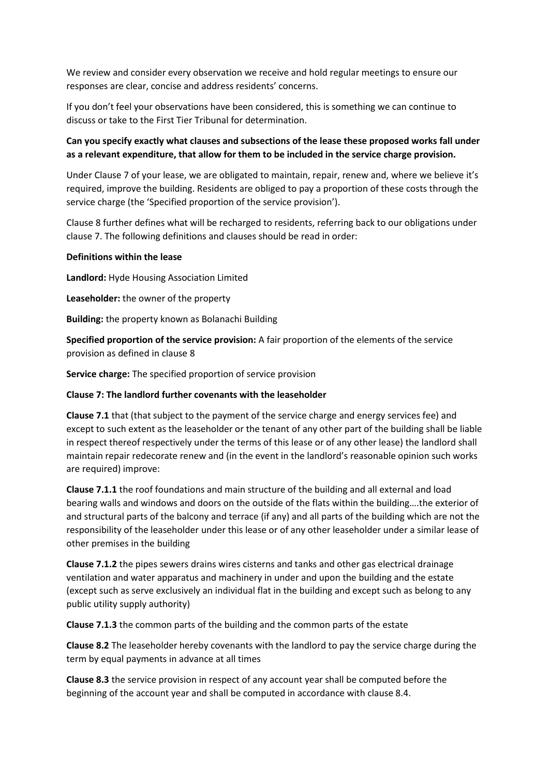We review and consider every observation we receive and hold regular meetings to ensure our responses are clear, concise and address residents' concerns.

If you don't feel your observations have been considered, this is something we can continue to discuss or take to the First Tier Tribunal for determination.

## **Can you specify exactly what clauses and subsections of the lease these proposed works fall under as a relevant expenditure, that allow for them to be included in the service charge provision.**

Under Clause 7 of your lease, we are obligated to maintain, repair, renew and, where we believe it's required, improve the building. Residents are obliged to pay a proportion of these costs through the service charge (the 'Specified proportion of the service provision').

Clause 8 further defines what will be recharged to residents, referring back to our obligations under clause 7. The following definitions and clauses should be read in order:

#### **Definitions within the lease**

**Landlord:** Hyde Housing Association Limited

**Leaseholder:** the owner of the property

**Building:** the property known as Bolanachi Building

**Specified proportion of the service provision:** A fair proportion of the elements of the service provision as defined in clause 8

**Service charge:** The specified proportion of service provision

#### **Clause 7: The landlord further covenants with the leaseholder**

**Clause 7.1** that (that subject to the payment of the service charge and energy services fee) and except to such extent as the leaseholder or the tenant of any other part of the building shall be liable in respect thereof respectively under the terms of this lease or of any other lease) the landlord shall maintain repair redecorate renew and (in the event in the landlord's reasonable opinion such works are required) improve:

**Clause 7.1.1** the roof foundations and main structure of the building and all external and load bearing walls and windows and doors on the outside of the flats within the building….the exterior of and structural parts of the balcony and terrace (if any) and all parts of the building which are not the responsibility of the leaseholder under this lease or of any other leaseholder under a similar lease of other premises in the building

**Clause 7.1.2** the pipes sewers drains wires cisterns and tanks and other gas electrical drainage ventilation and water apparatus and machinery in under and upon the building and the estate (except such as serve exclusively an individual flat in the building and except such as belong to any public utility supply authority)

**Clause 7.1.3** the common parts of the building and the common parts of the estate

**Clause 8.2** The leaseholder hereby covenants with the landlord to pay the service charge during the term by equal payments in advance at all times

**Clause 8.3** the service provision in respect of any account year shall be computed before the beginning of the account year and shall be computed in accordance with clause 8.4.